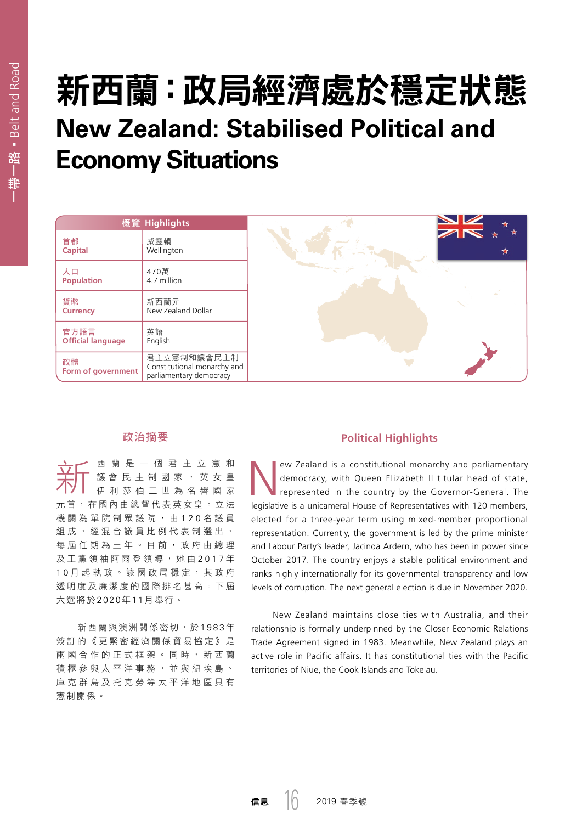# 新西蘭:政局經濟處於穩定狀態 **New Zealand: Stabilised Political and Economy Situations**

|                                  | 概覽 Highlights                                                         |   |
|----------------------------------|-----------------------------------------------------------------------|---|
| 首都<br><b>Capital</b>             | 威靈頓<br>Wellington                                                     | Ŕ |
| 人口<br><b>Population</b>          | 470萬<br>4.7 million                                                   |   |
| 貨幣<br><b>Currency</b>            | 新西蘭元<br>New Zealand Dollar                                            |   |
| 官方語言<br><b>Official language</b> | 英語<br>English                                                         |   |
| 政體<br>Form of government         | 君主立憲制和議會民主制<br>Constitutional monarchy and<br>parliamentary democracy |   |

# 政治摘要

**六〇〇** 西蘭是一個君主立憲和皇帝<br>大〇 議會民主制國家,英女皇<br>大〇 伊利莎伯二世為名譽國家 議會 民主制國家,英女皇 元首,在國內由總督代表英女皇。立法 機關為單院制眾議院,由120名議員 組成,經混合議員比例代表制選出, 每屆任期為三年。目前,政府由總理 及工黨領袖阿爾登領導,她由 2017年 1 0 月起執政。該國政局穩定,其政府 透明度及廉潔度的國際排名甚高。下屆 大選將於2020年1 1月舉行。

新西蘭與澳洲關係密切,於1983年 簽訂的《更緊密經濟關係貿易協定》是 兩國合作的正式框架。同時,新西蘭 積極參與太平洋事務,並與紐埃島、 庫克群島及托克勞等太平洋地區具有 憲制關係。

### **Political Highlights**

ew Zealand is a constitutional monarchy and parliamentary democracy, with Queen Elizabeth II titular head of state, represented in the country by the Governor-General. The legislative is a unicameral House of Representatives with 120 members, elected for a three-year term using mixed-member proportional representation. Currently, the government is led by the prime minister and Labour Party's leader, Jacinda Ardern, who has been in power since October 2017. The country enjoys a stable political environment and ranks highly internationally for its governmental transparency and low levels of corruption. The next general election is due in November 2020.

New Zealand maintains close ties with Australia, and their relationship is formally underpinned by the Closer Economic Relations Trade Agreement signed in 1983. Meanwhile, New Zealand plays an active role in Pacific affairs. It has constitutional ties with the Pacific territories of Niue, the Cook Islands and Tokelau.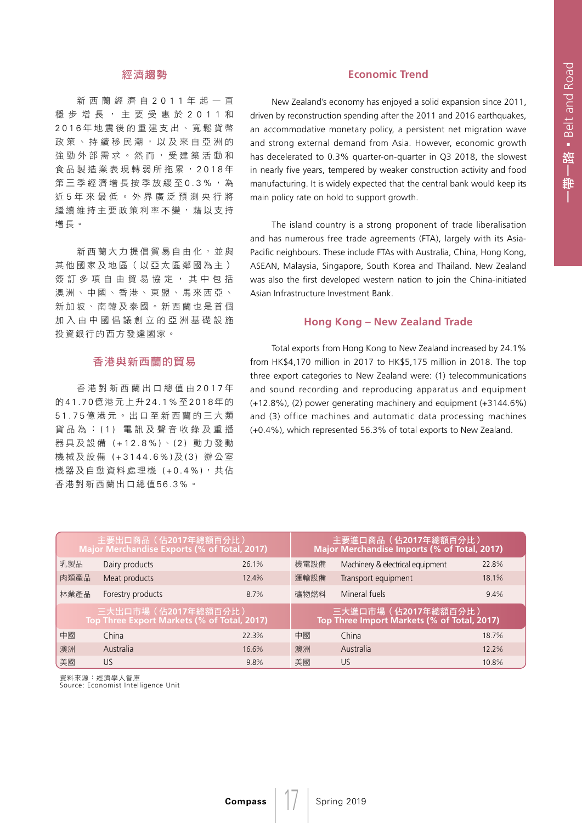# 經濟趨勢

新西蘭經濟自 2011 年起一直 穩步增長,主要受惠於 2011 和 2016 年地震後的重建支出、寬鬆貨幣 政策、持續移民潮,以及來自亞洲的 強勁外部需求。然而,受建築活動和 食品製造業表現轉弱所拖累, 2018年 第三季經濟增長按季放緩至0.3%,為 近 5 年來最低。外界廣泛預測央行將 繼續維持主要政策利率不變,藉以支持 增長。

新西蘭大力提倡貿易自由化,並與 其他國家及地區(以亞太區鄰國為主) 簽訂多項自由貿易協定,其中包括 澳洲、中國、香港、東盟、馬來西亞、 新加坡、南韓及泰國。新西蘭也是首個 加入由中國倡議創立的亞洲基礎設施 投資銀行的西方發達國家。

#### 香港與新西蘭的貿易

香港對新西蘭出口總值由 2017 年 的41.70億港元上升24.1%至 2018年的 51.75 億港元。出口至新西蘭的三大類 貨品為: (1) 電訊及聲音收錄及重播 器具及設備 (+12.8%) 、 (2) 動力發動 機械及設備 (+3144.6%) 及 (3) 辦公室 機器及自動資料處理機 (+0.4%),共佔 香港對新西蘭出口總值56.3%。

## **Economic Trend**

New Zealand's economy has enjoyed a solid expansion since 2011, driven by reconstruction spending after the 2011 and 2016 earthquakes, an accommodative monetary policy, a persistent net migration wave and strong external demand from Asia. However, economic growth has decelerated to 0.3% quarter-on-quarter in Q3 2018, the slowest in nearly five years, tempered by weaker construction activity and food manufacturing. It is widely expected that the central bank would keep its main policy rate on hold to support growth.

The island country is a strong proponent of trade liberalisation and has numerous free trade agreements (FTA), largely with its Asia-Pacific neighbours. These include FTAs with Australia, China, Hong Kong, ASEAN, Malaysia, Singapore, South Korea and Thailand. New Zealand was also the first developed western nation to join the China-initiated Asian Infrastructure Investment Bank.

## **Hong Kong – New Zealand Trade**

Total exports from Hong Kong to New Zealand increased by 24.1% from HK\$4,170 million in 2017 to HK\$5,175 million in 2018. The top three export categories to New Zealand were: (1) telecommunications and sound recording and reproducing apparatus and equipment (+12.8%), (2) power generating machinery and equipment (+3144.6%) and (3) office machines and automatic data processing machines (+0.4%), which represented 56.3% of total exports to New Zealand.

| 主要出口商品(佔2017年總額百分比)<br>Major Merchandise Exports (% of Total, 2017) |                   |       | 主要進口商品(佔2017年總額百分比)<br>Major Merchandise Imports (% of Total, 2017) |                                  |       |  |
|---------------------------------------------------------------------|-------------------|-------|---------------------------------------------------------------------|----------------------------------|-------|--|
| 乳製品                                                                 | Dairy products    | 26.1% | 機電設備                                                                | Machinery & electrical equipment | 22.8% |  |
| 肉類產品                                                                | Meat products     | 12.4% | 運輸設備                                                                | Transport equipment              | 18.1% |  |
| 林業產品                                                                | Forestry products | 8.7%  | 礦物燃料                                                                | Mineral fuels                    | 9.4%  |  |
| 三大出口市場 (佔2017年總額百分比)<br>Top Three Export Markets (% of Total, 2017) |                   |       | 三大進口市場 (佔2017年總額百分比)<br>Top Three Import Markets (% of Total, 2017) |                                  |       |  |
| 中國                                                                  | China             | 22.3% | 中國                                                                  | China                            | 18.7% |  |
| 澳洲                                                                  | Australia         | 16.6% | 澳洲                                                                  | Australia                        | 12.2% |  |
| 美國                                                                  | US                | 9.8%  | 美國                                                                  | US.                              | 10.8% |  |

 $\frac{1}{2}$ 

資料來源:經濟學人智庫 Source: Economist Intelligence Unit